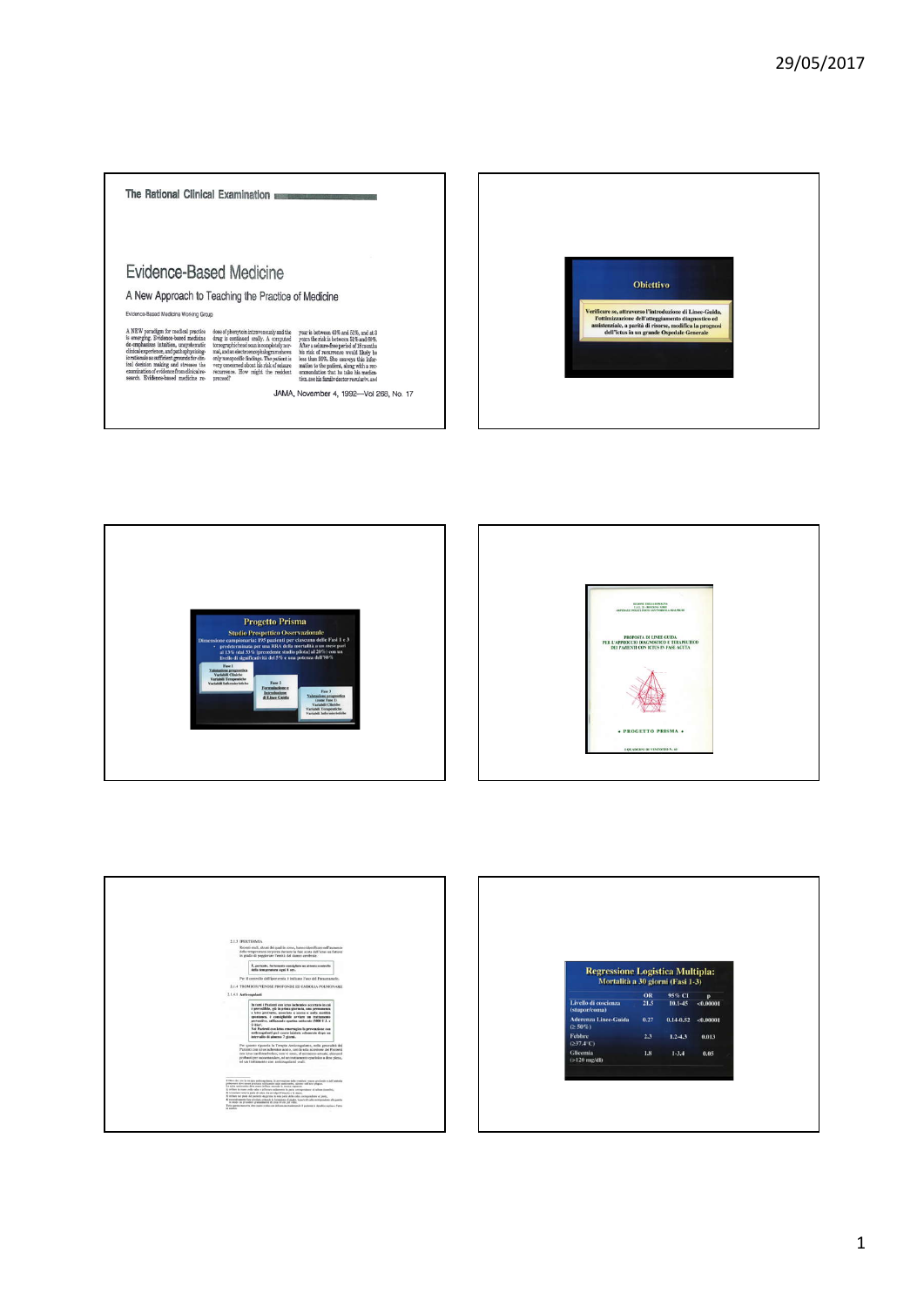









| <b>Regressione Logistica Multipla:</b>    |      |               |              |  |
|-------------------------------------------|------|---------------|--------------|--|
| Mortalità a 30 giorni (Fasi 1-3)          |      |               |              |  |
|                                           |      |               |              |  |
|                                           | OR   | 95% CI        | $\mathbf{p}$ |  |
| Livello di coscienza<br>(stupor/coma)     | 21.5 | $10.1 - 45$   | < 0.00001    |  |
| <b>Aderenza Linee-Guida</b><br>$(2.50\%)$ | 0.27 | $0.14 - 0.52$ | < 0.00001    |  |
|                                           | 2.3  | $1.2 - 4.3$   | 0.013        |  |
| <b>Febbre</b><br>$(237.4^{\circ}C)$       |      |               |              |  |
| Glicemia<br>$(>120$ mg/dl)                | 1.8  | $1 - 3.4$     | 0.05         |  |
|                                           |      |               |              |  |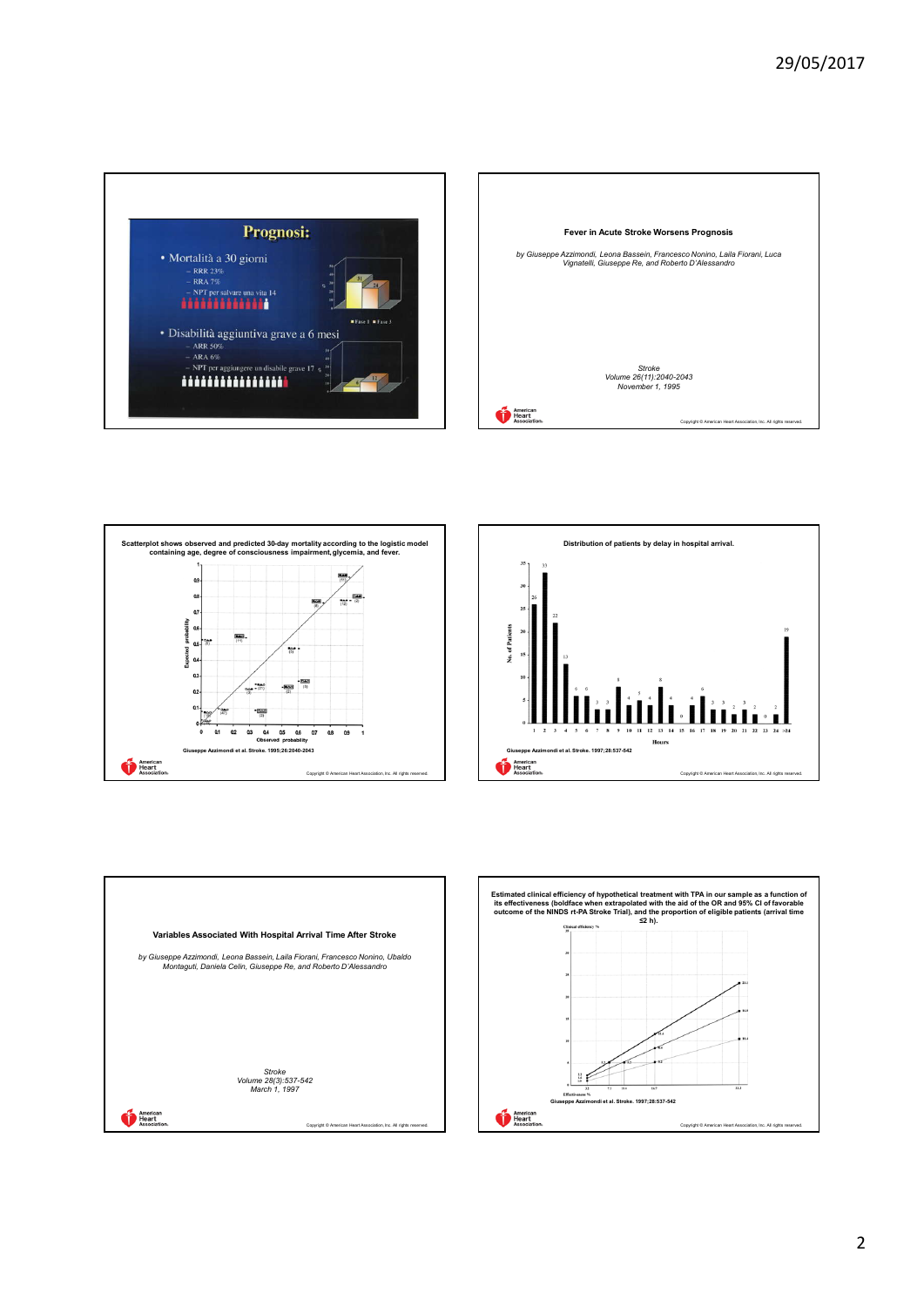